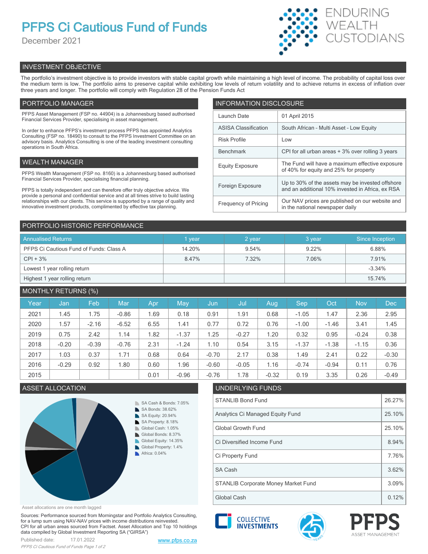# **PFPS Ci Cautious Fund of Funds**

December 2021



# INVESTMENT OBJECTIVE

The portfolio's investment objective is to provide investors with stable capital growth while maintaining a high level of income. The probability of capital loss over the medium term is low. The portfolio aims to preserve capital while exhibiting low levels of return volatility and to achieve returns in excess of inflation over three years and longer. The portfolio will comply with Regulation 28 of the Pension Funds Act

# PORTFOLIO MANAGER

PFPS Asset Management (FSP no. 44904) is a Johannesburg based authorised Financial Services Provider, specialising in asset management.

In order to enhance PFPS's investment process PFPS has appointed Analytics Consulting (FSP no. 18490) to consult to the PFPS Investment Committee on an advisory basis. Analytics Consulting is one of the leading investment consulting operations in South Africa.

# WEALTH MANAGER

PFPS Wealth Management (FSP no. 8160) is a Johannesburg based authorised Financial Services Provider, specialising financial planning.

PFPS is totally independent and can therefore offer truly objective advice. We provide a personal and confidential service and at all times strive to build lasting relationships with our clients. This service is supported by a range of quality and innovative investment products, complimented by effective tax planning.

| <b>INFORMATION DISCLOSURE</b> |                                                                                                      |  |  |  |
|-------------------------------|------------------------------------------------------------------------------------------------------|--|--|--|
| Launch Date                   | 01 April 2015                                                                                        |  |  |  |
| <b>ASISA Classification</b>   | South African - Multi Asset - Low Equity                                                             |  |  |  |
| <b>Risk Profile</b>           | Low                                                                                                  |  |  |  |
| <b>Benchmark</b>              | CPI for all urban areas + 3% over rolling 3 years                                                    |  |  |  |
| <b>Equity Exposure</b>        | The Fund will have a maximum effective exposure<br>of 40% for equity and 25% for property            |  |  |  |
| Foreign Exposure              | Up to 30% of the assets may be invested offshore<br>and an additional 10% invested in Africa, ex RSA |  |  |  |
| <b>Frequency of Pricing</b>   | Our NAV prices are published on our website and<br>in the national newspaper daily                   |  |  |  |

# PORTFOLIO HISTORIC PERFORMANCE

| <b>Annualised Returns</b>               | <b>vear</b> | 2 year | 3 year   | Since Inception |
|-----------------------------------------|-------------|--------|----------|-----------------|
| PFPS Ci Cautious Fund of Funds: Class A | 14.20%      | 9.54%  | $9.22\%$ | 6.88%           |
| $CPI + 3%$                              | 8.47%       | 7.32%  | 7.06%    | 7.91%           |
| Lowest 1 year rolling return            |             |        |          | $-3.34%$        |
| Highest 1 year rolling return           |             |        |          | 15.74%          |

# MONTHLY RETURNS (%)

| Year | Jan     | Feb     | Mar     | Apr  | May     | Jun     | Jul     | Aug     | Sep     | Oct     | <b>Nov</b> | <b>Dec</b> |
|------|---------|---------|---------|------|---------|---------|---------|---------|---------|---------|------------|------------|
| 2021 | 1.45    | 1.75    | $-0.86$ | 1.69 | 0.18    | 0.91    | 1.91    | 0.68    | $-1.05$ | 1.47    | 2.36       | 2.95       |
| 2020 | 1.57    | $-2.16$ | $-6.52$ | 6.55 | 1.41    | 0.77    | 0.72    | 0.76    | $-1.00$ | $-1.46$ | 3.41       | 1.45       |
| 2019 | 0.75    | 2.42    | 1.14    | 1.82 | $-1.37$ | 1.25    | $-0.27$ | 1.20    | 0.32    | 0.95    | $-0.24$    | 0.38       |
| 2018 | $-0.20$ | $-0.39$ | $-0.76$ | 2.31 | $-1.24$ | 1.10    | 0.54    | 3.15    | $-1.37$ | $-1.38$ | $-1.15$    | 0.36       |
| 2017 | 1.03    | 0.37    | 1.71    | 0.68 | 0.64    | $-0.70$ | 2.17    | 0.38    | 1.49    | 2.41    | 0.22       | $-0.30$    |
| 2016 | $-0.29$ | 0.92    | 1.80    | 0.60 | 1.96    | $-0.60$ | $-0.05$ | 1.16    | $-0.74$ | $-0.94$ | 0.11       | 0.76       |
| 2015 |         |         |         | 0.01 | $-0.96$ | $-0.76$ | 1.78    | $-0.32$ | 0.19    | 3.35    | 0.26       | $-0.49$    |

# ASSET ALLOCATION UNDERLYING FUNDS



Asset allocations are one month lagged

Sources: Performance sourced from Morningstar and Portfolio Analytics Consulting, for a lump sum using NAV-NAV prices with income distributions reinvested. CPI for all urban areas sourced from Factset. Asset Allocation and Top 10 holdings data compiled by Global Investment Reporting SA ("GIRSA")



| Global Growth Fund                         | 25.10% |
|--------------------------------------------|--------|
| Ci Diversified Income Fund                 | 8.94%  |
| Ci Property Fund                           | 7.76%  |
| <b>SA Cash</b>                             | 3.62%  |
| <b>STANLIB Corporate Money Market Fund</b> | 3.09%  |
| Global Cash                                | 0.12%  |